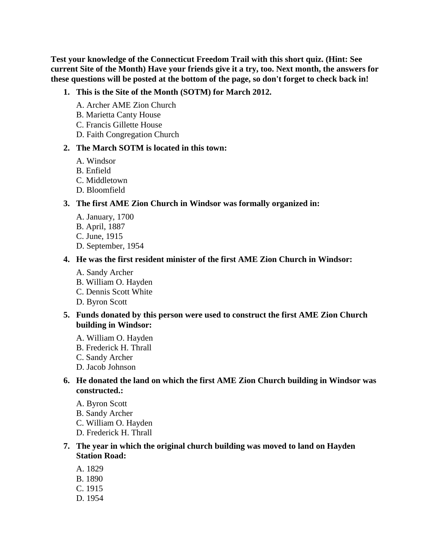**Test your knowledge of the Connecticut Freedom Trail with this short quiz. (Hint: See current Site of the Month) Have your friends give it a try, too. Next month, the answers for these questions will be posted at the bottom of the page, so don't forget to check back in!**

#### **1. This is the Site of the Month (SOTM) for March 2012.**

- A. Archer AME Zion Church
- B. Marietta Canty House
- C. Francis Gillette House
- D. Faith Congregation Church

#### **2. The March SOTM is located in this town:**

- A. Windsor
- B. Enfield
- C. Middletown
- D. Bloomfield

#### **3. The first AME Zion Church in Windsor was formally organized in:**

- A. January, 1700
- B. April, 1887
- C. June, 1915
- D. September, 1954

#### **4. He was the first resident minister of the first AME Zion Church in Windsor:**

- A. Sandy Archer
- B. William O. Hayden C. Dennis Scott White
- D. Byron Scott

# **5. Funds donated by this person were used to construct the first AME Zion Church building in Windsor:**

- A. William O. Hayden
- B. Frederick H. Thrall
- C. Sandy Archer
- D. Jacob Johnson

# **6. He donated the land on which the first AME Zion Church building in Windsor was constructed.:**

- A. Byron Scott
- B. Sandy Archer
- C. William O. Hayden
- D. Frederick H. Thrall

### **7. The year in which the original church building was moved to land on Hayden Station Road:**

- A. 1829
- B. 1890
- C. 1915
- D. 1954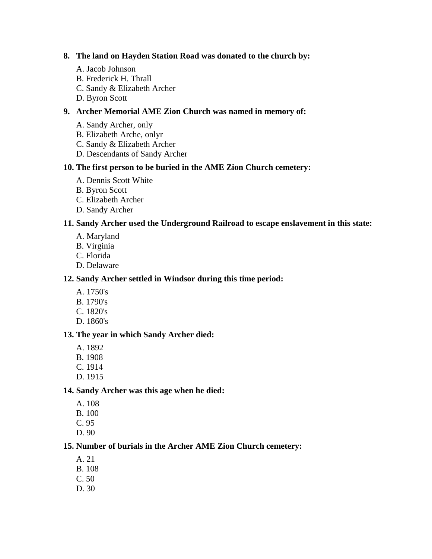### **8. The land on Hayden Station Road was donated to the church by:**

- A. Jacob Johnson
- B. Frederick H. Thrall
- C. Sandy & Elizabeth Archer
- D. Byron Scott

# **9. Archer Memorial AME Zion Church was named in memory of:**

- A. Sandy Archer, only
- B. Elizabeth Arche, onlyr
- C. Sandy & Elizabeth Archer
- D. Descendants of Sandy Archer

# **10. The first person to be buried in the AME Zion Church cemetery:**

- A. Dennis Scott White
- B. Byron Scott
- C. Elizabeth Archer
- D. Sandy Archer

# **11. Sandy Archer used the Underground Railroad to escape enslavement in this state:**

- A. Maryland
- B. Virginia
- C. Florida
- D. Delaware

### **12. Sandy Archer settled in Windsor during this time period:**

- A. 1750's
- B. 1790's
- C. 1820's
- D. 1860's

#### **13. The year in which Sandy Archer died:**

- A. 1892
- B. 1908
- C. 1914
- D. 1915

# **14. Sandy Archer was this age when he died:**

- A. 108
- B. 100
- C. 95
- D. 90

# **15. Number of burials in the Archer AME Zion Church cemetery:**

- A. 21
- B. 108
- C. 50
- D. 30